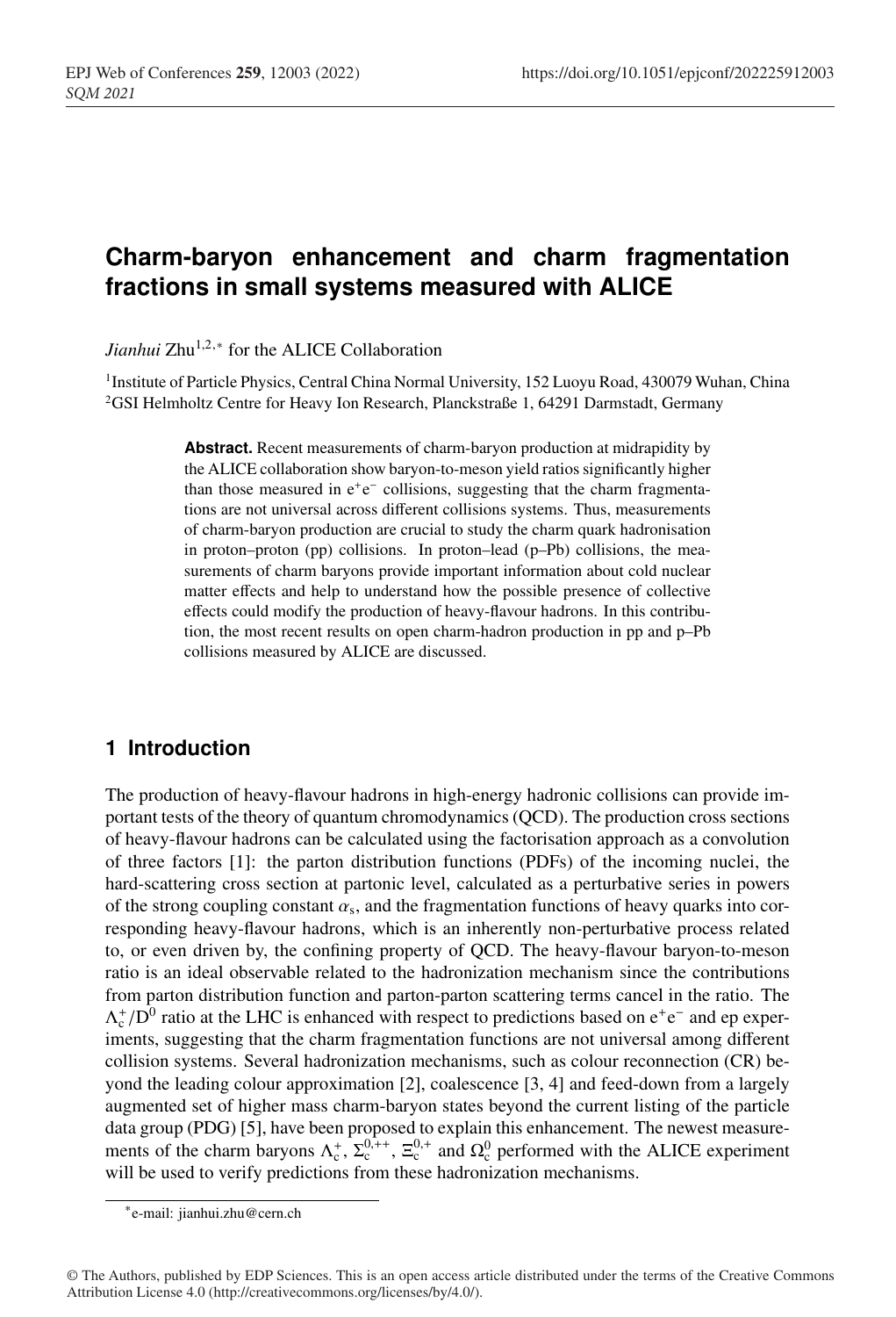# **Charm-baryon enhancement and charm fragmentation fractions in small systems measured with ALICE**

*Jianhui* Zhu<sup>1,2,∗</sup> for the ALICE Collaboration

<sup>1</sup> Institute of Particle Physics, Central China Normal University, 152 Luoyu Road, 430079 Wuhan, China <sup>2</sup>GSI Helmholtz Centre for Heavy Ion Research, Planckstraße 1, 64291 Darmstadt, Germany

> **Abstract.** Recent measurements of charm-baryon production at midrapidity by the ALICE collaboration show baryon-to-meson yield ratios significantly higher than those measured in  $e^+e^-$  collisions, suggesting that the charm fragmentations are not universal across different collisions systems. Thus, measurements of charm-baryon production are crucial to study the charm quark hadronisation in proton–proton (pp) collisions. In proton–lead (p–Pb) collisions, the measurements of charm baryons provide important information about cold nuclear matter effects and help to understand how the possible presence of collective effects could modify the production of heavy-flavour hadrons. In this contribution, the most recent results on open charm-hadron production in pp and p–Pb collisions measured by ALICE are discussed.

## **1 Introduction**

The production of heavy-flavour hadrons in high-energy hadronic collisions can provide important tests of the theory of quantum chromodynamics (QCD). The production cross sections of heavy-flavour hadrons can be calculated using the factorisation approach as a convolution of three factors [1]: the parton distribution functions (PDFs) of the incoming nuclei, the hard-scattering cross section at partonic level, calculated as a perturbative series in powers of the strong coupling constant  $\alpha_s$ , and the fragmentation functions of heavy quarks into corresponding heavy-flavour hadrons, which is an inherently non-perturbative process related to, or even driven by, the confining property of QCD. The heavy-flavour baryon-to-meson ratio is an ideal observable related to the hadronization mechanism since the contributions from parton distribution function and parton-parton scattering terms cancel in the ratio. The  $\Lambda_c^{\dagger}/D^0$  ratio at the LHC is enhanced with respect to predictions based on  $e^+e^-$  and ep experiments, suggesting that the charm fragmentation functions are not universal among different collision systems. Several hadronization mechanisms, such as colour reconnection (CR) beyond the leading colour approximation [2], coalescence [3, 4] and feed-down from a largely augmented set of higher mass charm-baryon states beyond the current listing of the particle data group (PDG) [5], have been proposed to explain this enhancement. The newest measurements of the charm baryons  $\Lambda_c^+$ ,  $\Sigma_c^{0,+}$ ,  $\Sigma_c^{0,+}$  and  $\Omega_c^0$  performed with the ALICE experiment will be used to verify predictions from these hadronization mechanisms.

<sup>∗</sup>e-mail: jianhui.zhu@cern.ch

<sup>©</sup> The Authors, published by EDP Sciences. This is an open access article distributed under the terms of the Creative Commons Attribution License 4.0 (http://creativecommons.org/licenses/by/4.0/).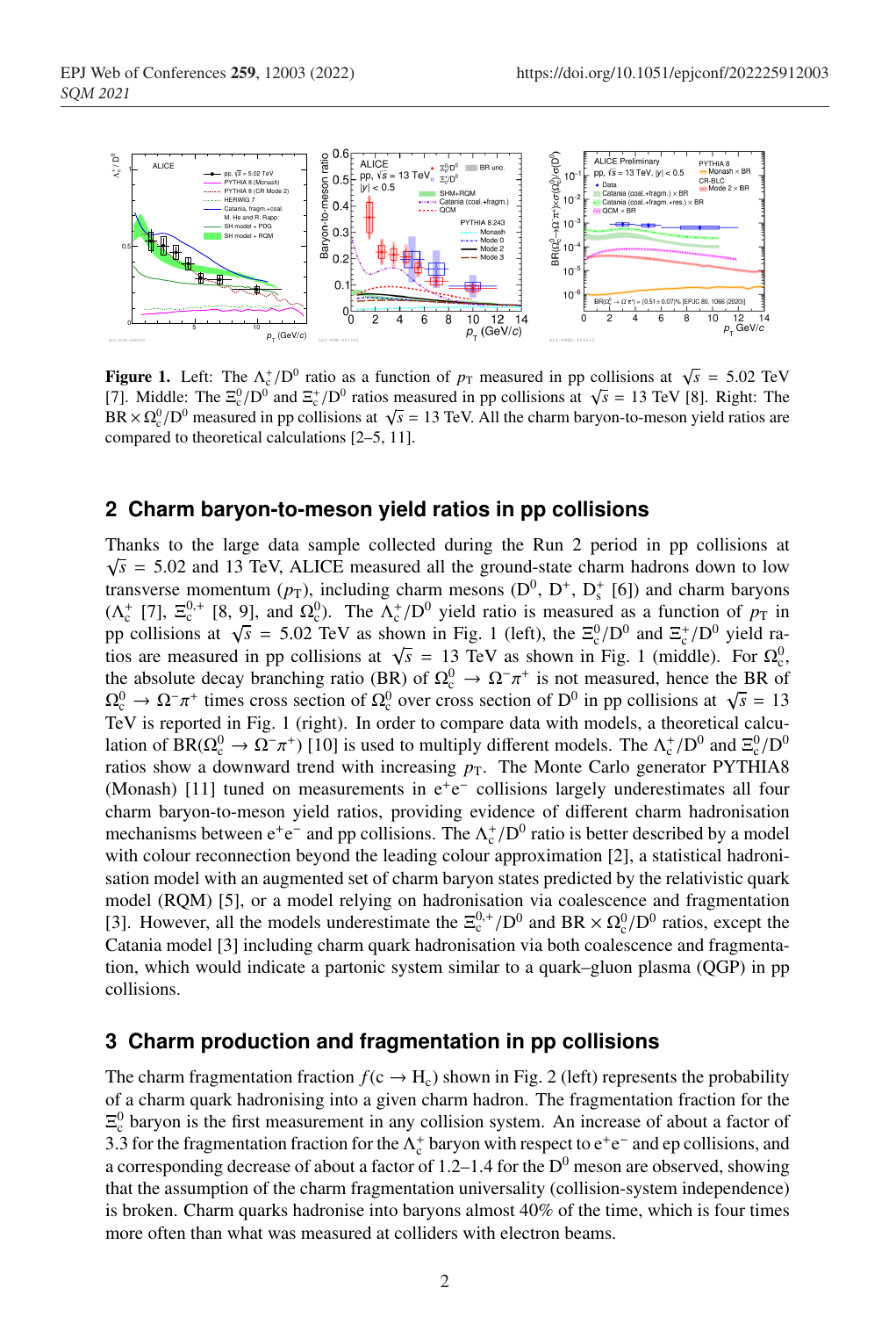

**Figure 1.** Left: The  $\Lambda_c^+ / D^0$  ratio as a function of  $p_T$  measured in pp collisions at  $\sqrt{s} = 5.02$  TeV [7]. Middle: The  $\Xi_c^0/D^0$  and  $\Xi_c^+/D^0$  ratios measured in pp collisions at  $\sqrt{s} = 13$  TeV [8]. Right: The  $BR \times \Omega_c^0/D^0$  measured in pp collisions at  $\sqrt{s} = 13$  TeV. All the charm baryon-to-meson yield ratios are compared to theoretical calculations [2–5, 11].

#### **2 Charm baryon-to-meson yield ratios in pp collisions**

Thanks to the large data sample collected during the Run 2 period in pp collisions at  $\sqrt{s}$  = 5.02 and 13 TeV, ALICE measured all the ground-state charm hadrons down to low transverse momentum ( $p_T$ ), including charm mesons ( $D^0$ ,  $D^+$ ,  $D_s^+$  [6]) and charm baryons ( $\Lambda_c^+$  [7],  $\Xi_c^{0,+}$  [8, 9], and  $\Omega_c^0$ ). The  $\Lambda_c^+/D^0$  yield ratio is measured as a function of  $p_T$  in pp collisions at  $\sqrt{s}$  = 5.02 TeV as shown in Fig. 1 (left), the  $\Xi_c^0/D^0$  and  $\Xi_c^+/D^0$  yield ratios are measured in pp collisions at  $\sqrt{s} = 13$  TeV as shown in Fig. 1 (middle). For  $\Omega_c^0$ , the absolute decay branching ratio (BR) of  $\Omega_c^0 \to \Omega^- \pi^+$  is not measured, hence the BR of  $\Omega_c^0 \to \Omega^- \pi^+$  times cross section of  $\Omega_c^0$  over cross section of D<sup>0</sup> in pp collisions at  $\sqrt{s} = 13$ TeV is reported in Fig. 1 (right). In order to compare data with models, a theoretical calculation of BR( $\Omega_c^0 \to \Omega^- \pi^+$ ) [10] is used to multiply different models. The  $\Lambda_c^+/D^0$  and  $\Xi_c^0/D^0$ ratios show a downward trend with increasing  $p<sub>T</sub>$ . The Monte Carlo generator PYTHIA8 (Monash) [11] tuned on measurements in e<sup>+</sup>e<sup>−</sup> collisions largely underestimates all four charm baryon-to-meson yield ratios, providing evidence of different charm hadronisation mechanisms between  $e^+e^-$  and pp collisions. The  $\Lambda_c^+/D^0$  ratio is better described by a model with colour reconnection beyond the leading colour approximation [2], a statistical hadronisation model with an augmented set of charm baryon states predicted by the relativistic quark model (RQM) [5], or a model relying on hadronisation via coalescence and fragmentation [3]. However, all the models underestimate the  $\Xi_c^{0,+}/D^0$  and BR  $\times \Omega_c^0/D^0$  ratios, except the Catania model [3] including charm quark hadronisation via both coalescence and fragmentation, which would indicate a partonic system similar to a quark–gluon plasma (QGP) in pp collisions.

#### **3 Charm production and fragmentation in pp collisions**

The charm fragmentation fraction  $f(c \rightarrow H_c)$  shown in Fig. 2 (left) represents the probability of a charm quark hadronising into a given charm hadron. The fragmentation fraction for the  $\Xi_c^0$  baryon is the first measurement in any collision system. An increase of about a factor of 3.3 for the fragmentation fraction for the  $\Lambda_c^+$  baryon with respect to  $e^+e^-$  and ep collisions, and a corresponding decrease of about a factor of 1.2–1.4 for the  $D^0$  meson are observed, showing that the assumption of the charm fragmentation universality (collision-system independence) is broken. Charm quarks hadronise into baryons almost 40% of the time, which is four times more often than what was measured at colliders with electron beams.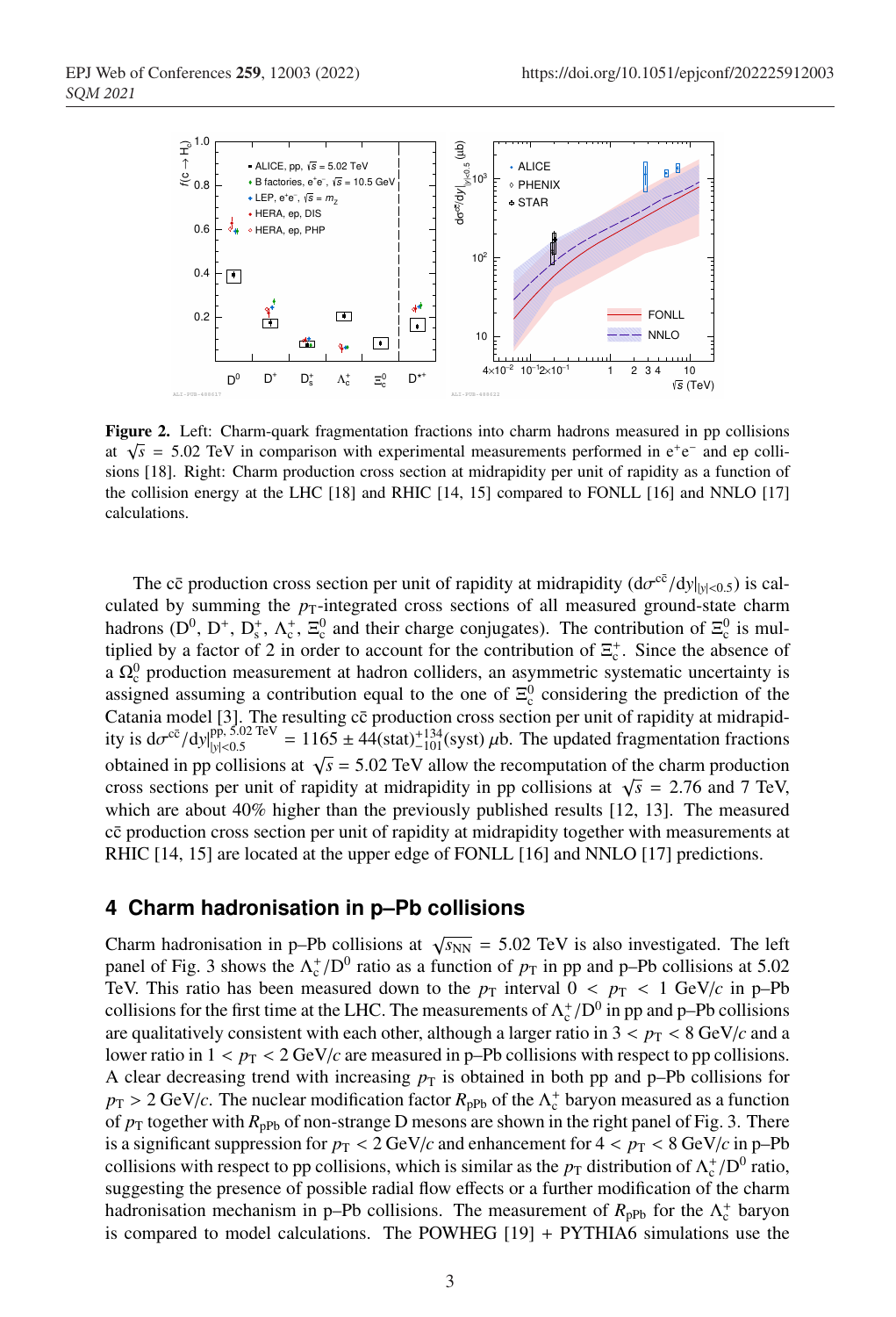

Figure 2. Left: Charm-quark fragmentation fractions into charm hadrons measured in pp collisions at  $\sqrt{s}$  = 5.02 TeV in comparison with experimental measurements performed in e<sup>+</sup>e<sup>−</sup> and ep collisions [18]. Right: Charm production cross section at midrapidity per unit of rapidity as a function of the collision energy at the LHC [18] and RHIC [14, 15] compared to FONLL [16] and NNLO [17] calculations.

The c $\bar{c}$  production cross section per unit of rapidity at midrapidity  $(d\sigma^{c\bar{c}}/dy|_{y|<0.5})$  is calculated by summing the  $p_T$ -integrated cross sections of all measured ground-state charm hadrons ( $D^0$ ,  $D^+$ ,  $D_s^+$ ,  $\Lambda_c^+$ ,  $\Xi_c^0$  and their charge conjugates). The contribution of  $\Xi_c^0$  is multiplied by a factor of 2 in order to account for the contribution of  $\Xi_c^+$ . Since the absence of a  $\Omega_c^0$  production measurement at hadron colliders, an asymmetric systematic uncertainty is assigned assuming a contribution equal to the one of  $\Xi_c^0$  considering the prediction of the Catania model [3]. The resulting cc production cross section per unit of rapidity at midrapidity is  $d\sigma^{c\bar{c}}/dy|_{y|<0.5}^{pp, 5.02 \text{ TeV}} = 1165 \pm 44(\text{stat})_{-101}^{+134}(\text{syst}) \mu b$ . The updated fragmentation fractions obtained in pp collisions at  $\sqrt{s}$  = 5.02 TeV allow the recomputation of the charm production cross sections per unit of rapidity at midrapidity in pp collisions at  $\sqrt{s}$  = 2.76 and 7 TeV, which are about 40% higher than the previously published results [12, 13]. The measured cc production cross section per unit of rapidity at midrapidity together with measurements at RHIC [14, 15] are located at the upper edge of FONLL [16] and NNLO [17] predictions.

### **4 Charm hadronisation in p–Pb collisions**

Charm hadronisation in p–Pb collisions at  $\sqrt{s_{NN}}$  = 5.02 TeV is also investigated. The left panel of Fig. 3 shows the  $\Lambda_c^+ / D^0$  ratio as a function of  $p_T$  in pp and p–Pb collisions at 5.02 TeV. This ratio has been measured down to the  $p<sub>T</sub>$  interval  $0 < p<sub>T</sub> < 1$  GeV/*c* in p–Pb collisions for the first time at the LHC. The measurements of  $\Lambda_c^+/D^0$  in pp and p–Pb collisions are qualitatively consistent with each other, although a larger ratio in  $3 < p<sub>T</sub> < 8$  GeV/*c* and a lower ratio in  $1 < p_T < 2 \text{ GeV}/c$  are measured in p–Pb collisions with respect to pp collisions. A clear decreasing trend with increasing  $p<sub>T</sub>$  is obtained in both pp and p–Pb collisions for  $p_T > 2 \text{ GeV}/c$ . The nuclear modification factor  $R_{\text{pPb}}$  of the  $\Lambda_c^+$  baryon measured as a function of  $p_T$  together with  $R_{\text{pPb}}$  of non-strange D mesons are shown in the right panel of Fig. 3. There is a significant suppression for  $p_T < 2 \text{ GeV}/c$  and enhancement for  $4 < p_T < 8 \text{ GeV}/c$  in p-Pb collisions with respect to pp collisions, which is similar as the  $p_T$  distribution of  $\Lambda_c^+/D^0$  ratio, suggesting the presence of possible radial flow effects or a further modification of the charm hadronisation mechanism in p–Pb collisions. The measurement of  $R_{\text{pPb}}$  for the  $\Lambda_c^+$  baryon is compared to model calculations. The POWHEG  $[19] + PYTHIA6$  simulations use the